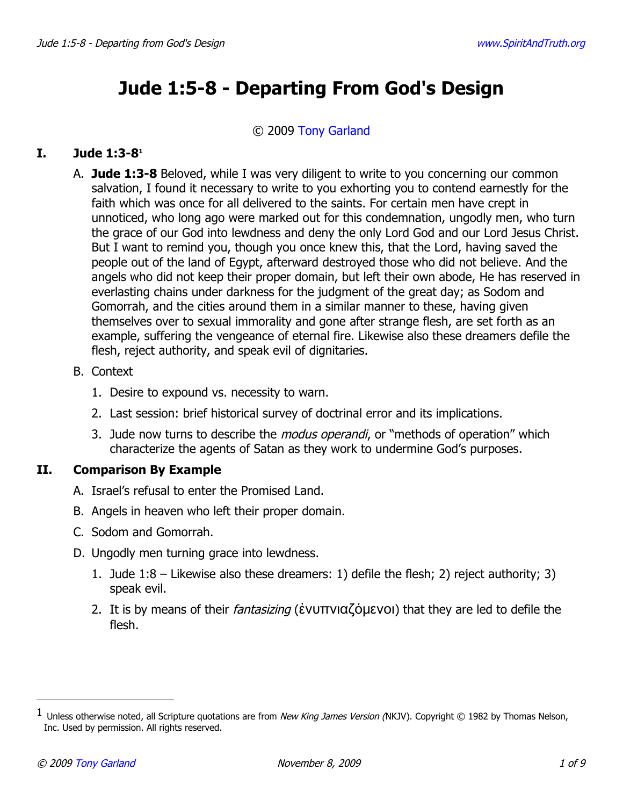# **Jude 1:5-8 - Departing From God's Design**

#### © 2009 [Tony Garland](http://www.spiritandtruth.org/id/tg.htm)

## **I. Jude 1:3-8[1](#page-0-0)**

- A. **Jude 1:3-8** Beloved, while I was very diligent to write to you concerning our common salvation, I found it necessary to write to you exhorting you to contend earnestly for the faith which was once for all delivered to the saints. For certain men have crept in unnoticed, who long ago were marked out for this condemnation, ungodly men, who turn the grace of our God into lewdness and deny the only Lord God and our Lord Jesus Christ. But I want to remind you, though you once knew this, that the Lord, having saved the people out of the land of Egypt, afterward destroyed those who did not believe. And the angels who did not keep their proper domain, but left their own abode, He has reserved in everlasting chains under darkness for the judgment of the great day; as Sodom and Gomorrah, and the cities around them in a similar manner to these, having given themselves over to sexual immorality and gone after strange flesh, are set forth as an example, suffering the vengeance of eternal fire. Likewise also these dreamers defile the flesh, reject authority, and speak evil of dignitaries.
- B. Context
	- 1. Desire to expound vs. necessity to warn.
	- 2. Last session: brief historical survey of doctrinal error and its implications.
	- 3. Jude now turns to describe the *modus operandi*, or "methods of operation" which characterize the agents of Satan as they work to undermine God's purposes.

## **II. Comparison By Example**

- A. Israel's refusal to enter the Promised Land.
- B. Angels in heaven who left their proper domain.
- C. Sodom and Gomorrah.
- D. Ungodly men turning grace into lewdness.
	- 1. Jude 1:8 Likewise also these dreamers: 1) defile the flesh; 2) reject authority; 3) speak evil.
	- 2. It is by means of their *fantasizing* (ἐνυπνιαζόμενοι) that they are led to defile the flesh.

<span id="page-0-0"></span> $^1$  Unless otherwise noted, all Scripture quotations are from *New King James Version (*NKJV). Copyright © 1982 by Thomas Nelson, Inc. Used by permission. All rights reserved.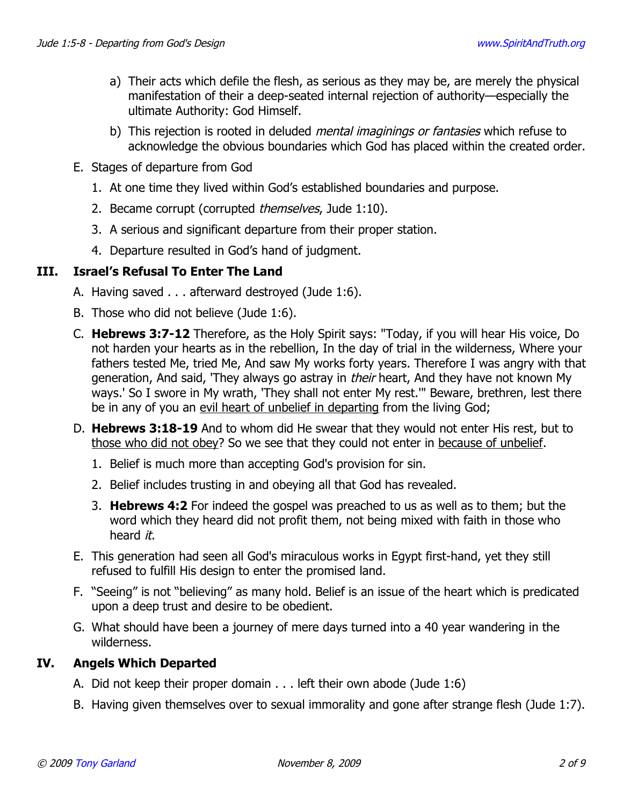- a) Their acts which defile the flesh, as serious as they may be, are merely the physical manifestation of their a deep-seated internal rejection of authority—especially the ultimate Authority: God Himself.
- b) This rejection is rooted in deluded *mental imaginings or fantasies* which refuse to acknowledge the obvious boundaries which God has placed within the created order.
- E. Stages of departure from God
	- 1. At one time they lived within God's established boundaries and purpose.
	- 2. Became corrupt (corrupted *themselves*, Jude 1:10).
	- 3. A serious and significant departure from their proper station.
	- 4. Departure resulted in God's hand of judgment.

# **III. Israel's Refusal To Enter The Land**

- A. Having saved . . . afterward destroyed (Jude 1:6).
- B. Those who did not believe (Jude 1:6).
- C. **Hebrews 3:7-12** Therefore, as the Holy Spirit says: "Today, if you will hear His voice, Do not harden your hearts as in the rebellion, In the day of trial in the wilderness, Where your fathers tested Me, tried Me, And saw My works forty years. Therefore I was angry with that generation, And said, 'They always go astray in *their* heart, And they have not known My ways.' So I swore in My wrath, 'They shall not enter My rest.'" Beware, brethren, lest there be in any of you an evil heart of unbelief in departing from the living God;
- D. **Hebrews 3:18-19** And to whom did He swear that they would not enter His rest, but to those who did not obey? So we see that they could not enter in because of unbelief.
	- 1. Belief is much more than accepting God's provision for sin.
	- 2. Belief includes trusting in and obeying all that God has revealed.
	- 3. **Hebrews 4:2** For indeed the gospel was preached to us as well as to them; but the word which they heard did not profit them, not being mixed with faith in those who heard it.
- E. This generation had seen all God's miraculous works in Egypt first-hand, yet they still refused to fulfill His design to enter the promised land.
- F. "Seeing" is not "believing" as many hold. Belief is an issue of the heart which is predicated upon a deep trust and desire to be obedient.
- G. What should have been a journey of mere days turned into a 40 year wandering in the wilderness.

## **IV. Angels Which Departed**

- A. Did not keep their proper domain . . . left their own abode (Jude 1:6)
- B. Having given themselves over to sexual immorality and gone after strange flesh (Jude 1:7).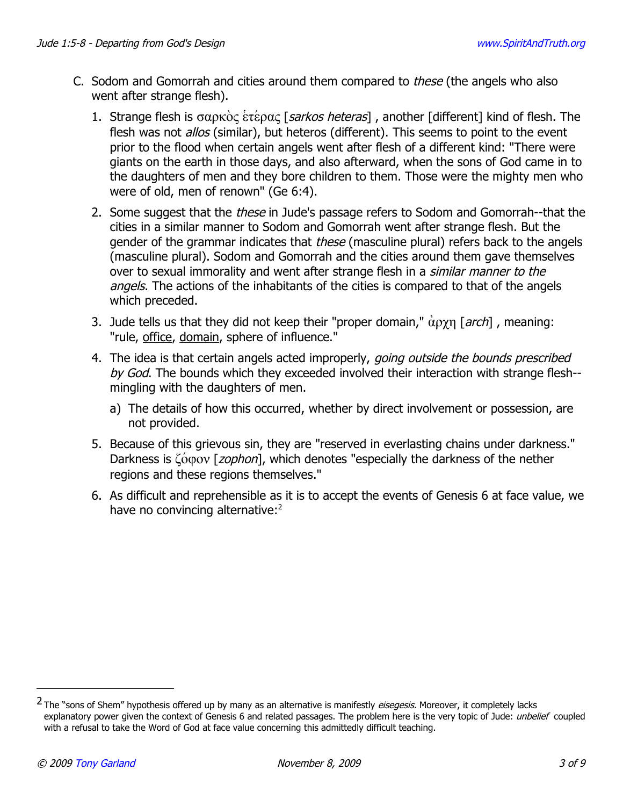- C. Sodom and Gomorrah and cities around them compared to these (the angels who also went after strange flesh).
	- 1. Strange flesh is  $\sigma\alpha\rho\kappa\dot{\alpha}$   $\zeta$   $\zeta\epsilon\rho\alpha\zeta$  [*sarkos heteras*], another [different] kind of flesh. The flesh was not *allos* (similar), but heteros (different). This seems to point to the event prior to the flood when certain angels went after flesh of a different kind: "There were giants on the earth in those days, and also afterward, when the sons of God came in to the daughters of men and they bore children to them. Those were the mighty men who were of old, men of renown" (Ge 6:4).
	- 2. Some suggest that the *these* in Jude's passage refers to Sodom and Gomorrah--that the cities in a similar manner to Sodom and Gomorrah went after strange flesh. But the gender of the grammar indicates that these (masculine plural) refers back to the angels (masculine plural). Sodom and Gomorrah and the cities around them gave themselves over to sexual immorality and went after strange flesh in a *similar manner to the* angels. The actions of the inhabitants of the cities is compared to that of the angels which preceded.
	- 3. Jude tells us that they did not keep their "proper domain,"  $\dot{\alpha}$ ogn [arch], meaning: "rule, office, domain, sphere of influence."
	- 4. The idea is that certain angels acted improperly, *going outside the bounds prescribed* by God. The bounds which they exceeded involved their interaction with strange flesh-mingling with the daughters of men.
		- a) The details of how this occurred, whether by direct involvement or possession, are not provided.
	- 5. Because of this grievous sin, they are "reserved in everlasting chains under darkness." Darkness is  $\zeta_0$  ( $z$ ophon], which denotes "especially the darkness of the nether regions and these regions themselves."
	- 6. As difficult and reprehensible as it is to accept the events of Genesis 6 at face value, we have no convincing alternative: $2<sup>2</sup>$  $2<sup>2</sup>$

<span id="page-2-0"></span><sup>&</sup>lt;sup>2</sup> The "sons of Shem" hypothesis offered up by many as an alternative is manifestly *eisegesis*. Moreover, it completely lacks explanatory power given the context of Genesis 6 and related passages. The problem here is the very topic of Jude: unbelief coupled with a refusal to take the Word of God at face value concerning this admittedly difficult teaching.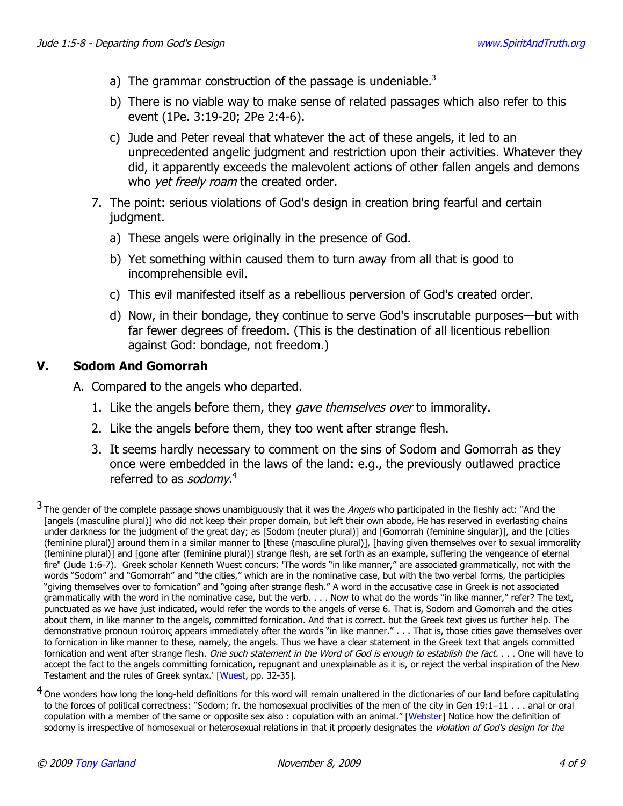- a) The grammar construction of the passage is undeniable. $3$
- b) There is no viable way to make sense of related passages which also refer to this event (1Pe. 3:19-20; 2Pe 2:4-6).
- c) Jude and Peter reveal that whatever the act of these angels, it led to an unprecedented angelic judgment and restriction upon their activities. Whatever they did, it apparently exceeds the malevolent actions of other fallen angels and demons who yet freely roam the created order.
- 7. The point: serious violations of God's design in creation bring fearful and certain judgment.
	- a) These angels were originally in the presence of God.
	- b) Yet something within caused them to turn away from all that is good to incomprehensible evil.
	- c) This evil manifested itself as a rebellious perversion of God's created order.
	- d) Now, in their bondage, they continue to serve God's inscrutable purposes—but with far fewer degrees of freedom. (This is the destination of all licentious rebellion against God: bondage, not freedom.)

# **V. Sodom And Gomorrah**

- A. Compared to the angels who departed.
	- 1. Like the angels before them, they *gave themselves over* to immorality.
	- 2. Like the angels before them, they too went after strange flesh.
	- 3. It seems hardly necessary to comment on the sins of Sodom and Gomorrah as they once were embedded in the laws of the land: e.g., the previously outlawed practice referred to as *sodomy*.<sup>[4](#page-3-1)</sup>

<span id="page-3-0"></span><sup>&</sup>lt;sup>3</sup> The gender of the complete passage shows unambiguously that it was the Angels who participated in the fleshly act: "And the [angels (masculine plural)] who did not keep their proper domain, but left their own abode, He has reserved in everlasting chains under darkness for the judgment of the great day; as [Sodom (neuter plural)] and [Gomorrah (feminine singular)], and the [cities (feminine plural)] around them in a similar manner to [these (masculine plural)], [having given themselves over to sexual immorality (feminine plural)] and [gone after (feminine plural)] strange flesh, are set forth as an example, suffering the vengeance of eternal fire" (Jude 1:6-7). Greek scholar Kenneth Wuest concurs: 'The words "in like manner," are associated grammatically, not with the words "Sodom" and "Gomorrah" and "the cities," which are in the nominative case, but with the two verbal forms, the participles "giving themselves over to fornication" and "going after strange flesh." A word in the accusative case in Greek is not associated grammatically with the word in the nominative case, but the verb. . . . Now to what do the words "in like manner," refer? The text, punctuated as we have just indicated, would refer the words to the angels of verse 6. That is, Sodom and Gomorrah and the cities about them, in like manner to the angels, committed fornication. And that is correct. but the Greek text gives us further help. The demonstrative pronoun τούτοις appears immediately after the words "in like manner." . . . That is, those cities gave themselves over to fornication in like manner to these, namely, the angels. Thus we have a clear statement in the Greek text that angels committed fornication and went after strange flesh. One such statement in the Word of God is enough to establish the fact. . . . One will have to accept the fact to the angels committing fornication, repugnant and unexplainable as it is, or reject the verbal inspiration of the New Testament and the rules of Greek syntax.' [\[Wuest,](#page-8-1) pp. 32-35].

<span id="page-3-1"></span> $4$  One wonders how long the long-held definitions for this word will remain unaltered in the dictionaries of our land before capitulating to the forces of political correctness: "Sodom; fr. the homosexual proclivities of the men of the city in Gen 19:1–11 . . . anal or oral copulation with a member of the same or opposite sex also: copulation with an animal." [\[Webster\]](#page-8-0) Notice how the definition of sodomy is irrespective of homosexual or heterosexual relations in that it properly designates the *violation of God's design for the*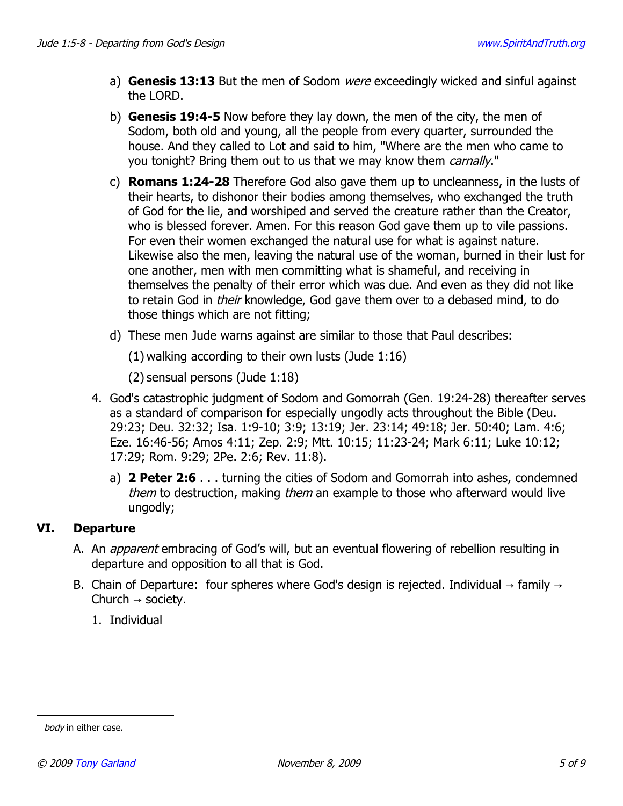- a) **Genesis 13:13** But the men of Sodom were exceedingly wicked and sinful against the LORD.
- b) **Genesis 19:4-5** Now before they lay down, the men of the city, the men of Sodom, both old and young, all the people from every quarter, surrounded the house. And they called to Lot and said to him, "Where are the men who came to you tonight? Bring them out to us that we may know them *carnally*."
- c) **Romans 1:24-28** Therefore God also gave them up to uncleanness, in the lusts of their hearts, to dishonor their bodies among themselves, who exchanged the truth of God for the lie, and worshiped and served the creature rather than the Creator, who is blessed forever. Amen. For this reason God gave them up to vile passions. For even their women exchanged the natural use for what is against nature. Likewise also the men, leaving the natural use of the woman, burned in their lust for one another, men with men committing what is shameful, and receiving in themselves the penalty of their error which was due. And even as they did not like to retain God in their knowledge, God gave them over to a debased mind, to do those things which are not fitting;
- d) These men Jude warns against are similar to those that Paul describes:

(1) walking according to their own lusts (Jude 1:16)

(2) sensual persons (Jude 1:18)

- 4. God's catastrophic judgment of Sodom and Gomorrah (Gen. 19:24-28) thereafter serves as a standard of comparison for especially ungodly acts throughout the Bible (Deu. 29:23; Deu. 32:32; Isa. 1:9-10; 3:9; 13:19; Jer. 23:14; 49:18; Jer. 50:40; Lam. 4:6; Eze. 16:46-56; Amos 4:11; Zep. 2:9; Mtt. 10:15; 11:23-24; Mark 6:11; Luke 10:12; 17:29; Rom. 9:29; 2Pe. 2:6; Rev. 11:8).
	- a) **2 Peter 2:6** . . . turning the cities of Sodom and Gomorrah into ashes, condemned them to destruction, making them an example to those who afterward would live ungodly;

# **VI. Departure**

- A. An *apparent* embracing of God's will, but an eventual flowering of rebellion resulting in departure and opposition to all that is God.
- B. Chain of Departure: four spheres where God's design is rejected. Individual  $\rightarrow$  family  $\rightarrow$ Church  $\rightarrow$  society.
	- 1. Individual

body in either case.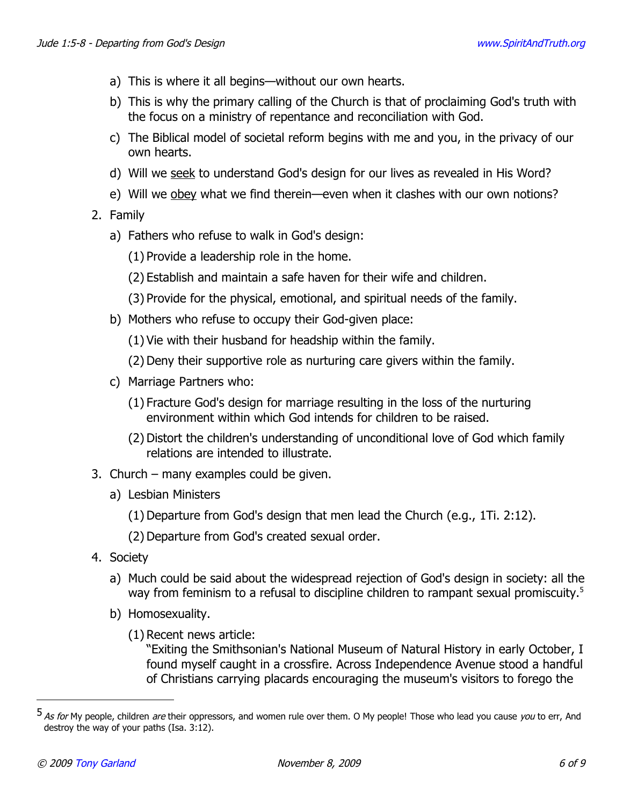- a) This is where it all begins—without our own hearts.
- b) This is why the primary calling of the Church is that of proclaiming God's truth with the focus on a ministry of repentance and reconciliation with God.
- c) The Biblical model of societal reform begins with me and you, in the privacy of our own hearts.
- d) Will we seek to understand God's design for our lives as revealed in His Word?
- e) Will we obey what we find therein—even when it clashes with our own notions?
- 2. Family
	- a) Fathers who refuse to walk in God's design:
		- (1) Provide a leadership role in the home.
		- (2) Establish and maintain a safe haven for their wife and children.
		- (3) Provide for the physical, emotional, and spiritual needs of the family.
	- b) Mothers who refuse to occupy their God-given place:
		- (1) Vie with their husband for headship within the family.
		- (2) Deny their supportive role as nurturing care givers within the family.
	- c) Marriage Partners who:
		- (1) Fracture God's design for marriage resulting in the loss of the nurturing environment within which God intends for children to be raised.
		- (2) Distort the children's understanding of unconditional love of God which family relations are intended to illustrate.
- 3. Church many examples could be given.
	- a) Lesbian Ministers
		- (1) Departure from God's design that men lead the Church (e.g., 1Ti. 2:12).

(2) Departure from God's created sexual order.

- 4. Society
	- a) Much could be said about the widespread rejection of God's design in society: all the way from feminism to a refusal to discipline children to rampant sexual promiscuity.<sup>[5](#page-5-0)</sup>
	- b) Homosexuality.
		- (1) Recent news article:

"Exiting the Smithsonian's National Museum of Natural History in early October, I found myself caught in a crossfire. Across Independence Avenue stood a handful of Christians carrying placards encouraging the museum's visitors to forego the

<span id="page-5-0"></span><sup>5</sup> As for My people, children are their oppressors, and women rule over them. O My people! Those who lead you cause you to err, And destroy the way of your paths (Isa. 3:12).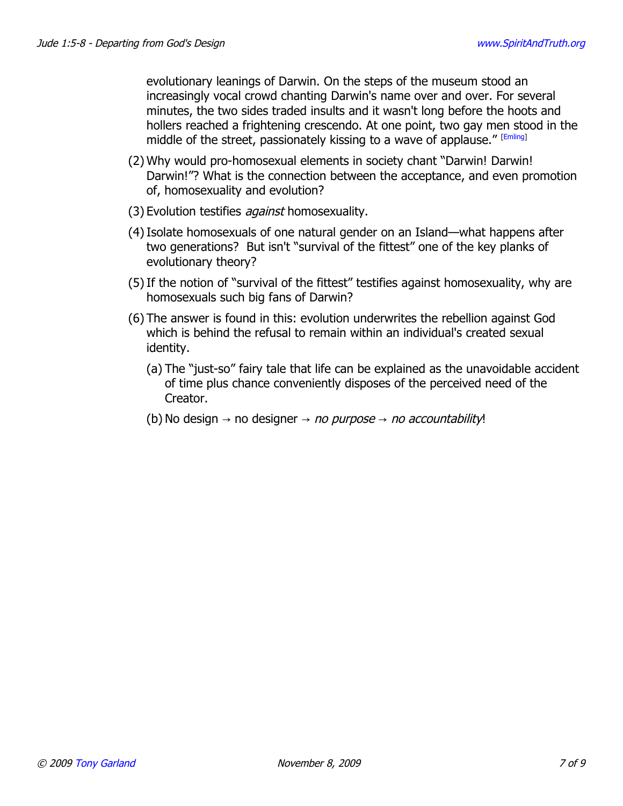evolutionary leanings of Darwin. On the steps of the museum stood an increasingly vocal crowd chanting Darwin's name over and over. For several minutes, the two sides traded insults and it wasn't long before the hoots and hollers reached a frightening crescendo. At one point, two gay men stood in the middle of the street, passionately kissing to a wave of applause." [\[Emling\]](#page-8-2)

- (2) Why would pro-homosexual elements in society chant "Darwin! Darwin! Darwin!"? What is the connection between the acceptance, and even promotion of, homosexuality and evolution?
- (3) Evolution testifies *against* homosexuality.
- (4)Isolate homosexuals of one natural gender on an Island—what happens after two generations? But isn't "survival of the fittest" one of the key planks of evolutionary theory?
- (5)If the notion of "survival of the fittest" testifies against homosexuality, why are homosexuals such big fans of Darwin?
- (6) The answer is found in this: evolution underwrites the rebellion against God which is behind the refusal to remain within an individual's created sexual identity.
	- (a) The "just-so" fairy tale that life can be explained as the unavoidable accident of time plus chance conveniently disposes of the perceived need of the Creator.
	- (b) No design  $\rightarrow$  no designer  $\rightarrow$  *no purpose*  $\rightarrow$  *no accountability!*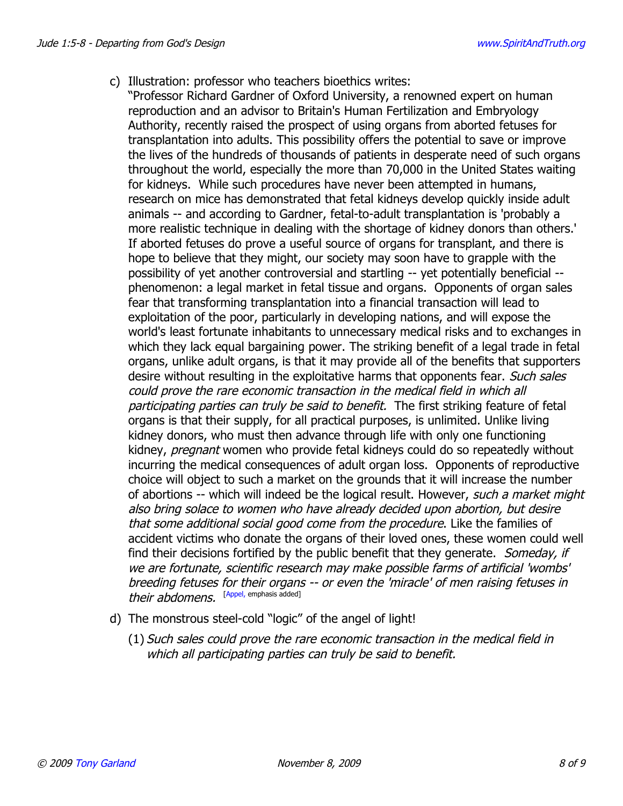- c) Illustration: professor who teachers bioethics writes:
	- "Professor Richard Gardner of Oxford University, a renowned expert on human reproduction and an advisor to Britain's Human Fertilization and Embryology Authority, recently raised the prospect of using organs from aborted fetuses for transplantation into adults. This possibility offers the potential to save or improve the lives of the hundreds of thousands of patients in desperate need of such organs throughout the world, especially the more than 70,000 in the United States waiting for kidneys. While such procedures have never been attempted in humans, research on mice has demonstrated that fetal kidneys develop quickly inside adult animals -- and according to Gardner, fetal-to-adult transplantation is 'probably a more realistic technique in dealing with the shortage of kidney donors than others.' If aborted fetuses do prove a useful source of organs for transplant, and there is hope to believe that they might, our society may soon have to grapple with the possibility of yet another controversial and startling -- yet potentially beneficial - phenomenon: a legal market in fetal tissue and organs. Opponents of organ sales fear that transforming transplantation into a financial transaction will lead to exploitation of the poor, particularly in developing nations, and will expose the world's least fortunate inhabitants to unnecessary medical risks and to exchanges in which they lack equal bargaining power. The striking benefit of a legal trade in fetal organs, unlike adult organs, is that it may provide all of the benefits that supporters desire without resulting in the exploitative harms that opponents fear. Such sales could prove the rare economic transaction in the medical field in which all participating parties can truly be said to benefit. The first striking feature of fetal organs is that their supply, for all practical purposes, is unlimited. Unlike living kidney donors, who must then advance through life with only one functioning kidney, *pregnant* women who provide fetal kidneys could do so repeatedly without incurring the medical consequences of adult organ loss. Opponents of reproductive choice will object to such a market on the grounds that it will increase the number of abortions -- which will indeed be the logical result. However, such a market might also bring solace to women who have already decided upon abortion, but desire that some additional social good come from the procedure. Like the families of accident victims who donate the organs of their loved ones, these women could well find their decisions fortified by the public benefit that they generate. Someday, if we are fortunate, scientific research may make possible farms of artificial 'wombs' breeding fetuses for their organs -- or even the 'miracle' of men raising fetuses in their abdomens. <sup>[\[Appel,](#page-8-3) emphasis added]</sup>
- d) The monstrous steel-cold "logic" of the angel of light!
	- (1) Such sales could prove the rare economic transaction in the medical field in which all participating parties can truly be said to benefit.